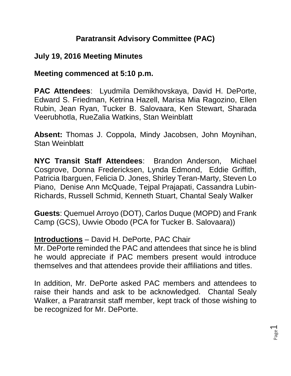## **Paratransit Advisory Committee (PAC)**

### **July 19, 2016 Meeting Minutes**

### **Meeting commenced at 5:10 p.m.**

**PAC Attendees**: Lyudmila Demikhovskaya, David H. DePorte, Edward S. Friedman, Ketrina Hazell, Marisa Mia Ragozino, Ellen Rubin, Jean Ryan, Tucker B. Salovaara, Ken Stewart, Sharada Veerubhotla, RueZalia Watkins, Stan Weinblatt

**Absent:** Thomas J. Coppola, Mindy Jacobsen, John Moynihan, Stan Weinblatt

**NYC Transit Staff Attendees**: Brandon Anderson, Michael Cosgrove, Donna Fredericksen, Lynda Edmond, Eddie Griffith, Patricia Ibarguen, Felicia D. Jones, Shirley Teran-Marty, Steven Lo Piano, Denise Ann McQuade, Tejpal Prajapati, Cassandra Lubin-Richards, Russell Schmid, Kenneth Stuart, Chantal Sealy Walker

**Guests**: Quemuel Arroyo (DOT), Carlos Duque (MOPD) and Frank Camp (GCS), Uwvie Obodo (PCA for Tucker B. Salovaara))

#### **Introductions** – David H. DePorte, PAC Chair

Mr. DePorte reminded the PAC and attendees that since he is blind he would appreciate if PAC members present would introduce themselves and that attendees provide their affiliations and titles.

In addition, Mr. DePorte asked PAC members and attendees to raise their hands and ask to be acknowledged. Chantal Sealy Walker, a Paratransit staff member, kept track of those wishing to be recognized for Mr. DePorte.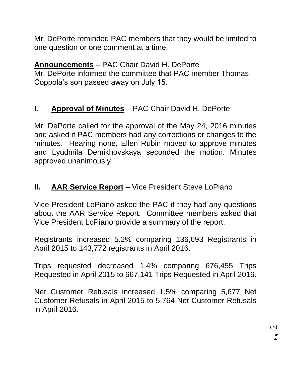Mr. DePorte reminded PAC members that they would be limited to one question or one comment at a time.

# **Announcements** – PAC Chair David H. DePorte

Mr. DePorte informed the committee that PAC member Thomas Coppola's son passed away on July 15.

## **I. Approval of Minutes** – PAC Chair David H. DePorte

Mr. DePorte called for the approval of the May 24, 2016 minutes and asked if PAC members had any corrections or changes to the minutes. Hearing none, Ellen Rubin moved to approve minutes and Lyudmila Demikhovskaya seconded the motion. Minutes approved unanimously

## **II. AAR Service Report** – Vice President Steve LoPiano

Vice President LoPiano asked the PAC if they had any questions about the AAR Service Report. Committee members asked that Vice President LoPiano provide a summary of the report.

Registrants increased 5.2% comparing 136,693 Registrants in April 2015 to 143,772 registrants in April 2016.

Trips requested decreased 1.4% comparing 676,455 Trips Requested in April 2015 to 667,141 Trips Requested in April 2016.

Net Customer Refusals increased 1.5% comparing 5,677 Net Customer Refusals in April 2015 to 5,764 Net Customer Refusals in April 2016.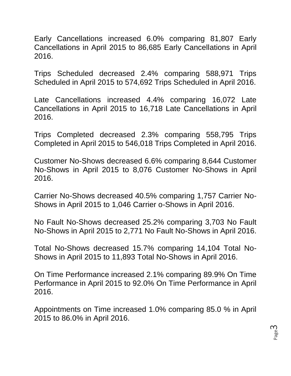Early Cancellations increased 6.0% comparing 81,807 Early Cancellations in April 2015 to 86,685 Early Cancellations in April 2016.

Trips Scheduled decreased 2.4% comparing 588,971 Trips Scheduled in April 2015 to 574,692 Trips Scheduled in April 2016.

Late Cancellations increased 4.4% comparing 16,072 Late Cancellations in April 2015 to 16,718 Late Cancellations in April 2016.

Trips Completed decreased 2.3% comparing 558,795 Trips Completed in April 2015 to 546,018 Trips Completed in April 2016.

Customer No-Shows decreased 6.6% comparing 8,644 Customer No-Shows in April 2015 to 8,076 Customer No-Shows in April 2016.

Carrier No-Shows decreased 40.5% comparing 1,757 Carrier No-Shows in April 2015 to 1,046 Carrier o-Shows in April 2016.

No Fault No-Shows decreased 25.2% comparing 3,703 No Fault No-Shows in April 2015 to 2,771 No Fault No-Shows in April 2016.

Total No-Shows decreased 15.7% comparing 14,104 Total No-Shows in April 2015 to 11,893 Total No-Shows in April 2016.

On Time Performance increased 2.1% comparing 89.9% On Time Performance in April 2015 to 92.0% On Time Performance in April 2016.

Appointments on Time increased 1.0% comparing 85.0 % in April 2015 to 86.0% in April 2016.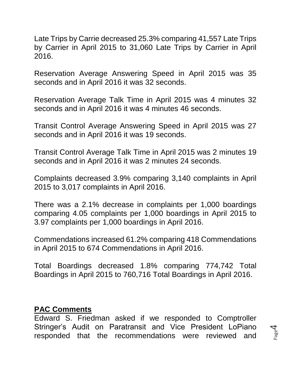Late Trips by Carrie decreased 25.3% comparing 41,557 Late Trips by Carrier in April 2015 to 31,060 Late Trips by Carrier in April 2016.

Reservation Average Answering Speed in April 2015 was 35 seconds and in April 2016 it was 32 seconds.

Reservation Average Talk Time in April 2015 was 4 minutes 32 seconds and in April 2016 it was 4 minutes 46 seconds.

Transit Control Average Answering Speed in April 2015 was 27 seconds and in April 2016 it was 19 seconds.

Transit Control Average Talk Time in April 2015 was 2 minutes 19 seconds and in April 2016 it was 2 minutes 24 seconds.

Complaints decreased 3.9% comparing 3,140 complaints in April 2015 to 3,017 complaints in April 2016.

There was a 2.1% decrease in complaints per 1,000 boardings comparing 4.05 complaints per 1,000 boardings in April 2015 to 3.97 complaints per 1,000 boardings in April 2016.

Commendations increased 61.2% comparing 418 Commendations in April 2015 to 674 Commendations in April 2016.

Total Boardings decreased 1.8% comparing 774,742 Total Boardings in April 2015 to 760,716 Total Boardings in April 2016.

#### **PAC Comments**

Edward S. Friedman asked if we responded to Comptroller Stringer's Audit on Paratransit and Vice President LoPiano responded that the recommendations were reviewed and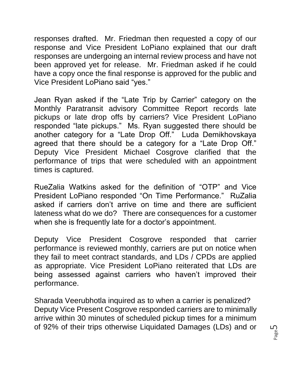responses drafted. Mr. Friedman then requested a copy of our response and Vice President LoPiano explained that our draft responses are undergoing an internal review process and have not been approved yet for release. Mr. Friedman asked if he could have a copy once the final response is approved for the public and Vice President LoPiano said "yes."

Jean Ryan asked if the "Late Trip by Carrier" category on the Monthly Paratransit advisory Committee Report records late pickups or late drop offs by carriers? Vice President LoPiano responded "late pickups." Ms. Ryan suggested there should be another category for a "Late Drop Off." Luda Demikhovskaya agreed that there should be a category for a "Late Drop Off." Deputy Vice President Michael Cosgrove clarified that the performance of trips that were scheduled with an appointment times is captured.

RueZalia Watkins asked for the definition of "OTP" and Vice President LoPiano responded "On Time Performance." RuZalia asked if carriers don't arrive on time and there are sufficient lateness what do we do? There are consequences for a customer when she is frequently late for a doctor's appointment.

Deputy Vice President Cosgrove responded that carrier performance is reviewed monthly, carriers are put on notice when they fail to meet contract standards, and LDs / CPDs are applied as appropriate. Vice President LoPiano reiterated that LDs are being assessed against carriers who haven't improved their performance.

Sharada Veerubhotla inquired as to when a carrier is penalized? Deputy Vice Present Cosgrove responded carriers are to minimally arrive within 30 minutes of scheduled pickup times for a minimum of 92% of their trips otherwise Liquidated Damages (LDs) and or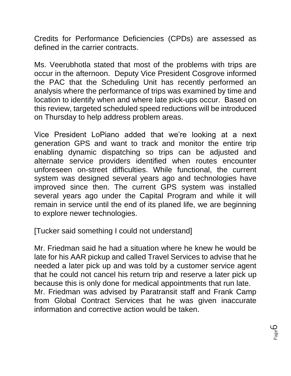Credits for Performance Deficiencies (CPDs) are assessed as defined in the carrier contracts.

Ms. Veerubhotla stated that most of the problems with trips are occur in the afternoon. Deputy Vice President Cosgrove informed the PAC that the Scheduling Unit has recently performed an analysis where the performance of trips was examined by time and location to identify when and where late pick-ups occur. Based on this review, targeted scheduled speed reductions will be introduced on Thursday to help address problem areas.

Vice President LoPiano added that we're looking at a next generation GPS and want to track and monitor the entire trip enabling dynamic dispatching so trips can be adjusted and alternate service providers identified when routes encounter unforeseen on-street difficulties. While functional, the current system was designed several years ago and technologies have improved since then. The current GPS system was installed several years ago under the Capital Program and while it will remain in service until the end of its planed life, we are beginning to explore newer technologies.

[Tucker said something I could not understand]

Mr. Friedman said he had a situation where he knew he would be late for his AAR pickup and called Travel Services to advise that he needed a later pick up and was told by a customer service agent that he could not cancel his return trip and reserve a later pick up because this is only done for medical appointments that run late. Mr. Friedman was advised by Paratransit staff and Frank Camp from Global Contract Services that he was given inaccurate information and corrective action would be taken.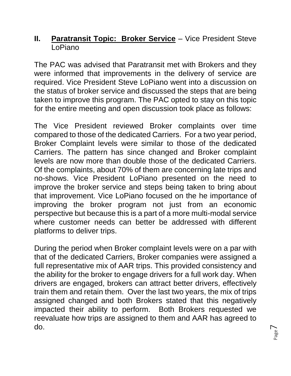### **II. Paratransit Topic: Broker Service** – Vice President Steve LoPiano

The PAC was advised that Paratransit met with Brokers and they were informed that improvements in the delivery of service are required. Vice President Steve LoPiano went into a discussion on the status of broker service and discussed the steps that are being taken to improve this program. The PAC opted to stay on this topic for the entire meeting and open discussion took place as follows:

The Vice President reviewed Broker complaints over time compared to those of the dedicated Carriers. For a two year period, Broker Complaint levels were similar to those of the dedicated Carriers. The pattern has since changed and Broker complaint levels are now more than double those of the dedicated Carriers. Of the complaints, about 70% of them are concerning late trips and no-shows. Vice President LoPiano presented on the need to improve the broker service and steps being taken to bring about that improvement. Vice LoPiano focused on the he importance of improving the broker program not just from an economic perspective but because this is a part of a more multi-modal service where customer needs can better be addressed with different platforms to deliver trips.

During the period when Broker complaint levels were on a par with that of the dedicated Carriers, Broker companies were assigned a full representative mix of AAR trips. This provided consistency and the ability for the broker to engage drivers for a full work day. When drivers are engaged, brokers can attract better drivers, effectively train them and retain them. Over the last two years, the mix of trips assigned changed and both Brokers stated that this negatively impacted their ability to perform. Both Brokers requested we reevaluate how trips are assigned to them and AAR has agreed to do.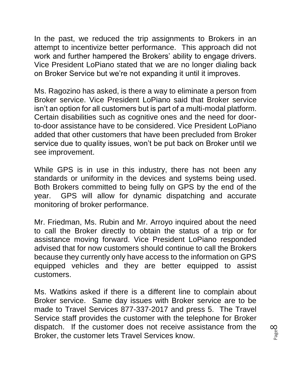In the past, we reduced the trip assignments to Brokers in an attempt to incentivize better performance. This approach did not work and further hampered the Brokers' ability to engage drivers. Vice President LoPiano stated that we are no longer dialing back on Broker Service but we're not expanding it until it improves.

Ms. Ragozino has asked, is there a way to eliminate a person from Broker service. Vice President LoPiano said that Broker service isn't an option for all customers but is part of a multi-modal platform. Certain disabilities such as cognitive ones and the need for doorto-door assistance have to be considered. Vice President LoPiano added that other customers that have been precluded from Broker service due to quality issues, won't be put back on Broker until we see improvement.

While GPS is in use in this industry, there has not been any standards or uniformity in the devices and systems being used. Both Brokers committed to being fully on GPS by the end of the year. GPS will allow for dynamic dispatching and accurate monitoring of broker performance.

Mr. Friedman, Ms. Rubin and Mr. Arroyo inquired about the need to call the Broker directly to obtain the status of a trip or for assistance moving forward. Vice President LoPiano responded advised that for now customers should continue to call the Brokers because they currently only have access to the information on GPS equipped vehicles and they are better equipped to assist customers.

Ms. Watkins asked if there is a different line to complain about Broker service. Same day issues with Broker service are to be made to Travel Services 877-337-2017 and press 5. The Travel Service staff provides the customer with the telephone for Broker dispatch. If the customer does not receive assistance from the Broker, the customer lets Travel Services know.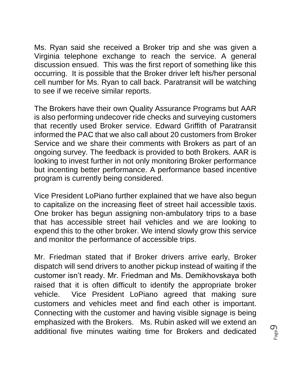Ms. Ryan said she received a Broker trip and she was given a Virginia telephone exchange to reach the service. A general discussion ensued. This was the first report of something like this occurring. It is possible that the Broker driver left his/her personal cell number for Ms. Ryan to call back. Paratransit will be watching to see if we receive similar reports.

The Brokers have their own Quality Assurance Programs but AAR is also performing undecover ride checks and surveying customers that recently used Broker service. Edward Griffith of Paratransit informed the PAC that we also call about 20 customers from Broker Service and we share their comments with Brokers as part of an ongoing survey. The feedback is provided to both Brokers. AAR is looking to invest further in not only monitoring Broker performance but incenting better performance. A performance based incentive program is currently being considered.

Vice President LoPiano further explained that we have also begun to capitalize on the increasing fleet of street hail accessible taxis. One broker has begun assigning non-ambulatory trips to a base that has accessible street hail vehicles and we are looking to expend this to the other broker. We intend slowly grow this service and monitor the performance of accessible trips.

Mr. Friedman stated that if Broker drivers arrive early, Broker dispatch will send drivers to another pickup instead of waiting if the customer isn't ready. Mr. Friedman and Ms. Demikhovskaya both raised that it is often difficult to identify the appropriate broker vehicle. Vice President LoPiano agreed that making sure customers and vehicles meet and find each other is important. Connecting with the customer and having visible signage is being emphasized with the Brokers. Ms. Rubin asked will we extend an additional five minutes waiting time for Brokers and dedicated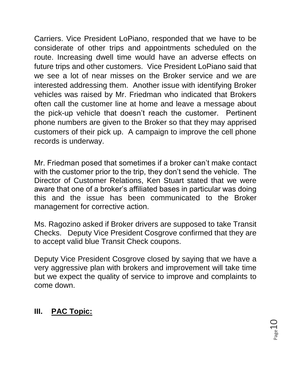Carriers. Vice President LoPiano, responded that we have to be considerate of other trips and appointments scheduled on the route. Increasing dwell time would have an adverse effects on future trips and other customers. Vice President LoPiano said that we see a lot of near misses on the Broker service and we are interested addressing them. Another issue with identifying Broker vehicles was raised by Mr. Friedman who indicated that Brokers often call the customer line at home and leave a message about the pick-up vehicle that doesn't reach the customer. Pertinent phone numbers are given to the Broker so that they may apprised customers of their pick up. A campaign to improve the cell phone records is underway.

Mr. Friedman posed that sometimes if a broker can't make contact with the customer prior to the trip, they don't send the vehicle. The Director of Customer Relations, Ken Stuart stated that we were aware that one of a broker's affiliated bases in particular was doing this and the issue has been communicated to the Broker management for corrective action.

Ms. Ragozino asked if Broker drivers are supposed to take Transit Checks. Deputy Vice President Cosgrove confirmed that they are to accept valid blue Transit Check coupons.

Deputy Vice President Cosgrove closed by saying that we have a very aggressive plan with brokers and improvement will take time but we expect the quality of service to improve and complaints to come down.

# **III. PAC Topic:**